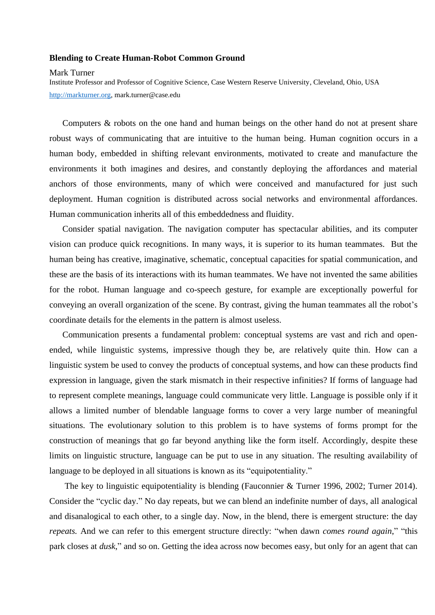## **Blending to Create Human-Robot Common Ground**

Mark Turner

Institute Professor and Professor of Cognitive Science, Case Western Reserve University, Cleveland, Ohio, USA [http://markturner.org,](http://markturner.org/) mark.turner@case.edu

Computers & robots on the one hand and human beings on the other hand do not at present share robust ways of communicating that are intuitive to the human being. Human cognition occurs in a human body, embedded in shifting relevant environments, motivated to create and manufacture the environments it both imagines and desires, and constantly deploying the affordances and material anchors of those environments, many of which were conceived and manufactured for just such deployment. Human cognition is distributed across social networks and environmental affordances. Human communication inherits all of this embeddedness and fluidity.

Consider spatial navigation. The navigation computer has spectacular abilities, and its computer vision can produce quick recognitions. In many ways, it is superior to its human teammates. But the human being has creative, imaginative, schematic, conceptual capacities for spatial communication, and these are the basis of its interactions with its human teammates. We have not invented the same abilities for the robot. Human language and co-speech gesture, for example are exceptionally powerful for conveying an overall organization of the scene. By contrast, giving the human teammates all the robot's coordinate details for the elements in the pattern is almost useless.

Communication presents a fundamental problem: conceptual systems are vast and rich and openended, while linguistic systems, impressive though they be, are relatively quite thin. How can a linguistic system be used to convey the products of conceptual systems, and how can these products find expression in language, given the stark mismatch in their respective infinities? If forms of language had to represent complete meanings, language could communicate very little. Language is possible only if it allows a limited number of blendable language forms to cover a very large number of meaningful situations. The evolutionary solution to this problem is to have systems of forms prompt for the construction of meanings that go far beyond anything like the form itself. Accordingly, despite these limits on linguistic structure, language can be put to use in any situation. The resulting availability of language to be deployed in all situations is known as its "equipotentiality."

The key to linguistic equipotentiality is blending (Fauconnier & Turner 1996, 2002; Turner 2014). Consider the "cyclic day." No day repeats, but we can blend an indefinite number of days, all analogical and disanalogical to each other, to a single day. Now, in the blend, there is emergent structure: the day *repeats.* And we can refer to this emergent structure directly: "when dawn *comes round again*," "this park closes at *dusk*," and so on. Getting the idea across now becomes easy, but only for an agent that can